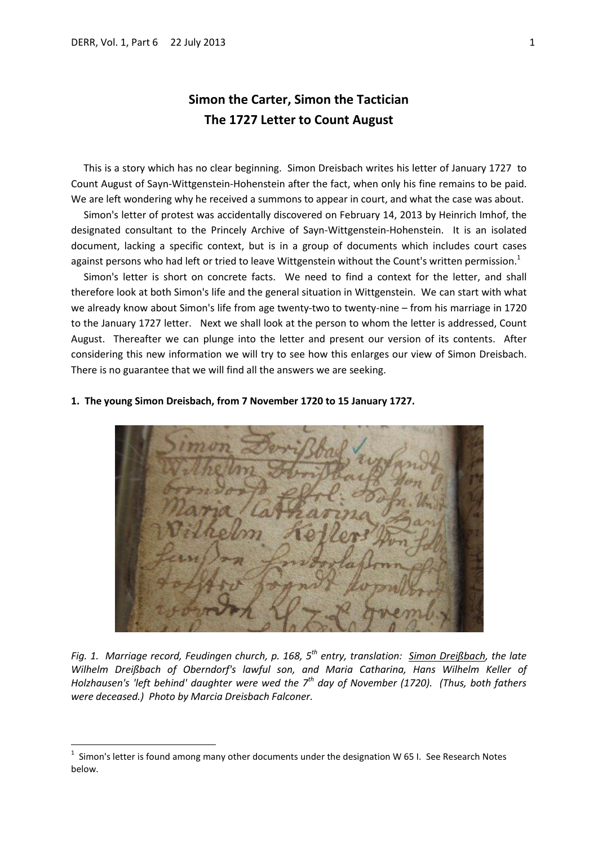1

# **Simon the Carter, Simon the Tactician The 1727 Letter to Count August**

 This is a story which has no clear beginning. Simon Dreisbach writes his letter of January 1727 to Count August of Sayn-Wittgenstein-Hohenstein after the fact, when only his fine remains to be paid. We are left wondering why he received a summons to appear in court, and what the case was about.

 Simon's letter of protest was accidentally discovered on February 14, 2013 by Heinrich Imhof, the designated consultant to the Princely Archive of Sayn-Wittgenstein-Hohenstein. It is an isolated document, lacking a specific context, but is in a group of documents which includes court cases against persons who had left or tried to leave Wittgenstein without the Count's written permission.<sup>1</sup>

 Simon's letter is short on concrete facts. We need to find a context for the letter, and shall therefore look at both Simon's life and the general situation in Wittgenstein. We can start with what we already know about Simon's life from age twenty-two to twenty-nine – from his marriage in 1720 to the January 1727 letter. Next we shall look at the person to whom the letter is addressed, Count August. Thereafter we can plunge into the letter and present our version of its contents. After considering this new information we will try to see how this enlarges our view of Simon Dreisbach. There is no guarantee that we will find all the answers we are seeking.

## **1. The young Simon Dreisbach, from 7 November 1720 to 15 January 1727.**



*Fig. 1. Marriage record, Feudingen church, p. 168, 5th entry, translation: Simon Dreißbach, the late Wilhelm Dreißbach of Oberndorf's lawful son, and Maria Catharina, Hans Wilhelm Keller of Holzhausen's 'left behind' daughter were wed the 7th day of November (1720). (Thus, both fathers were deceased.) Photo by Marcia Dreisbach Falconer.*

<sup>1</sup> Simon's letter is found among many other documents under the designation W 65 I. See Research Notes below.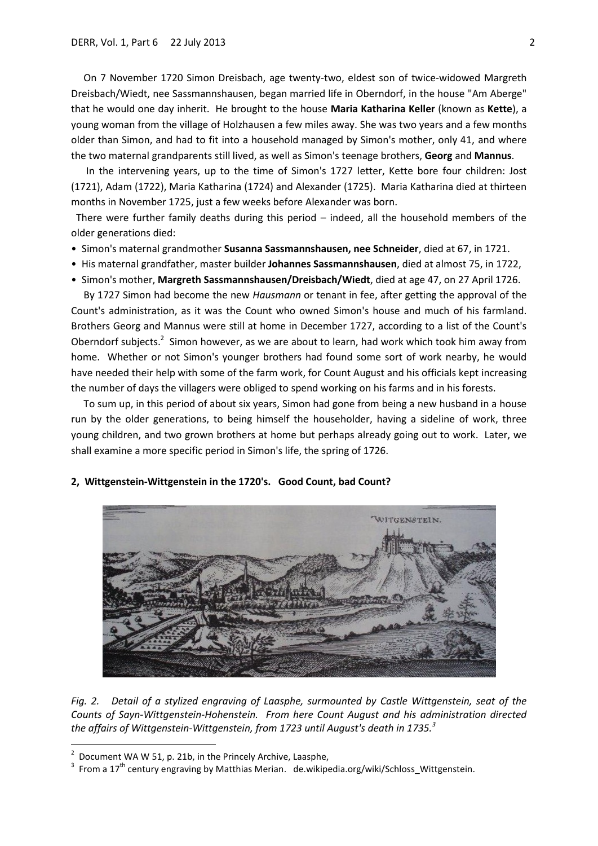On 7 November 1720 Simon Dreisbach, age twenty-two, eldest son of twice-widowed Margreth Dreisbach/Wiedt, nee Sassmannshausen, began married life in Oberndorf, in the house "Am Aberge" that he would one day inherit. He brought to the house **Maria Katharina Keller** (known as **Kette**), a young woman from the village of Holzhausen a few miles away. She was two years and a few months older than Simon, and had to fit into a household managed by Simon's mother, only 41, and where the two maternal grandparents still lived, as well as Simon's teenage brothers, **Georg** and **Mannus**.

 In the intervening years, up to the time of Simon's 1727 letter, Kette bore four children: Jost (1721), Adam (1722), Maria Katharina (1724) and Alexander (1725). Maria Katharina died at thirteen months in November 1725, just a few weeks before Alexander was born.

 There were further family deaths during this period – indeed, all the household members of the older generations died:

- Simon's maternal grandmother **Susanna Sassmannshausen, nee Schneider**, died at 67, in 1721.
- His maternal grandfather, master builder **Johannes Sassmannshausen**, died at almost 75, in 1722,
- Simon's mother, **Margreth Sassmannshausen/Dreisbach/Wiedt**, died at age 47, on 27 April 1726.

 By 1727 Simon had become the new *Hausmann* or tenant in fee, after getting the approval of the Count's administration, as it was the Count who owned Simon's house and much of his farmland. Brothers Georg and Mannus were still at home in December 1727, according to a list of the Count's Oberndorf subjects.<sup>2</sup> Simon however, as we are about to learn, had work which took him away from home. Whether or not Simon's younger brothers had found some sort of work nearby, he would have needed their help with some of the farm work, for Count August and his officials kept increasing the number of days the villagers were obliged to spend working on his farms and in his forests.

 To sum up, in this period of about six years, Simon had gone from being a new husband in a house run by the older generations, to being himself the householder, having a sideline of work, three young children, and two grown brothers at home but perhaps already going out to work. Later, we shall examine a more specific period in Simon's life, the spring of 1726.



#### **2, Wittgenstein-Wittgenstein in the 1720's. Good Count, bad Count?**

*Fig. 2. Detail of a stylized engraving of Laasphe, surmounted by Castle Wittgenstein, seat of the Counts of Sayn-Wittgenstein-Hohenstein. From here Count August and his administration directed the affairs of Wittgenstein-Wittgenstein, from 1723 until August's death in 1735.<sup>3</sup>*

1

<sup>2</sup> Document WA W 51, p. 21b, in the Princely Archive, Laasphe,

<sup>&</sup>lt;sup>3</sup> From a 17<sup>th</sup> century engraving by Matthias Merian. de.wikipedia.org/wiki/Schloss\_Wittgenstein.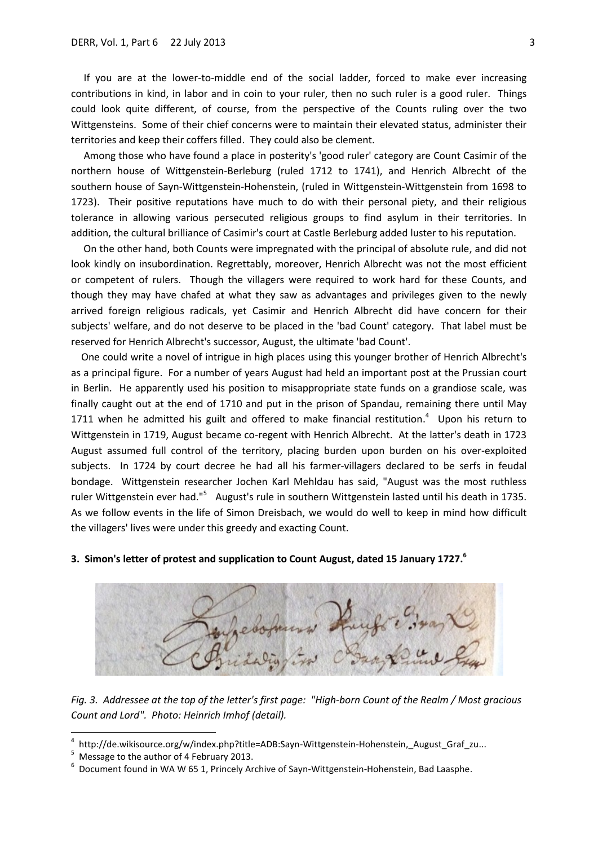If you are at the lower-to-middle end of the social ladder, forced to make ever increasing contributions in kind, in labor and in coin to your ruler, then no such ruler is a good ruler. Things could look quite different, of course, from the perspective of the Counts ruling over the two Wittgensteins. Some of their chief concerns were to maintain their elevated status, administer their territories and keep their coffers filled. They could also be clement.

 Among those who have found a place in posterity's 'good ruler' category are Count Casimir of the northern house of Wittgenstein-Berleburg (ruled 1712 to 1741), and Henrich Albrecht of the southern house of Sayn-Wittgenstein-Hohenstein, (ruled in Wittgenstein-Wittgenstein from 1698 to 1723). Their positive reputations have much to do with their personal piety, and their religious tolerance in allowing various persecuted religious groups to find asylum in their territories. In addition, the cultural brilliance of Casimir's court at Castle Berleburg added luster to his reputation.

 On the other hand, both Counts were impregnated with the principal of absolute rule, and did not look kindly on insubordination. Regrettably, moreover, Henrich Albrecht was not the most efficient or competent of rulers. Though the villagers were required to work hard for these Counts, and though they may have chafed at what they saw as advantages and privileges given to the newly arrived foreign religious radicals, yet Casimir and Henrich Albrecht did have concern for their subjects' welfare, and do not deserve to be placed in the 'bad Count' category. That label must be reserved for Henrich Albrecht's successor, August, the ultimate 'bad Count'.

 One could write a novel of intrigue in high places using this younger brother of Henrich Albrecht's as a principal figure. For a number of years August had held an important post at the Prussian court in Berlin. He apparently used his position to misappropriate state funds on a grandiose scale, was finally caught out at the end of 1710 and put in the prison of Spandau, remaining there until May 1711 when he admitted his guilt and offered to make financial restitution.<sup>4</sup> Upon his return to Wittgenstein in 1719, August became co-regent with Henrich Albrecht. At the latter's death in 1723 August assumed full control of the territory, placing burden upon burden on his over-exploited subjects. In 1724 by court decree he had all his farmer-villagers declared to be serfs in feudal bondage. Wittgenstein researcher Jochen Karl Mehldau has said, "August was the most ruthless ruler Wittgenstein ever had."<sup>5</sup> August's rule in southern Wittgenstein lasted until his death in 1735. As we follow events in the life of Simon Dreisbach, we would do well to keep in mind how difficult the villagers' lives were under this greedy and exacting Count.



# **3. Simon's letter of protest and supplication to Count August, dated 15 January 1727.<sup>6</sup>**

*Fig. 3. Addressee at the top of the letter's first page: "High-born Count of the Realm / Most gracious Count and Lord". Photo: Heinrich Imhof (detail).*

**.** 

<sup>4</sup> http://de.wikisource.org/w/index.php?title=ADB:Sayn-Wittgenstein-Hohenstein, August Graf zu...

<sup>&</sup>lt;sup>5</sup> Message to the author of 4 February 2013.<br><sup>6</sup> Desument found in MA M EF 1, Princely Ar

Document found in WA W 65 1, Princely Archive of Sayn-Wittgenstein-Hohenstein, Bad Laasphe.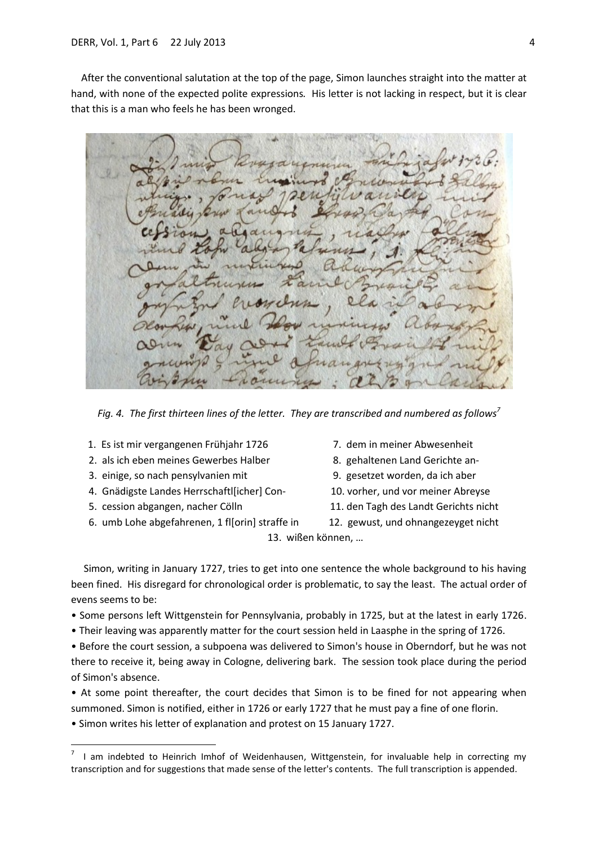After the conventional salutation at the top of the page, Simon launches straight into the matter at hand, with none of the expected polite expressions*.* His letter is not lacking in respect, but it is clear that this is a man who feels he has been wronged.

 $\alpha$ 

*Fig. 4. The first thirteen lines of the letter. They are transcribed and numbered as follows<sup>7</sup>*

- 1. Es ist mir vergangenen Frühjahr 1726 7. dem in meiner Abwesenheit
- 2. als ich eben meines Gewerbes Halber 8. gehaltenen Land Gerichte an-
- 
- 4. Gnädigste Landes Herrschaftl[icher] Con- 10. vorher, und vor meiner Abreyse
- 

1

- 6. umb Lohe abgefahrenen, 1 fl[orin] straffe in 12. gewust, und ohnangezeyget nicht
- 
- 
- 3. einige, so nach pensylvanien mit 9. gesetzet worden, da ich aber
	-
- 5. cession abgangen, nacher Cölln 11. den Tagh des Landt Gerichts nicht
	-

13. wißen können, …

 Simon, writing in January 1727, tries to get into one sentence the whole background to his having been fined. His disregard for chronological order is problematic, to say the least. The actual order of evens seems to be:

• Some persons left Wittgenstein for Pennsylvania, probably in 1725, but at the latest in early 1726.

• Their leaving was apparently matter for the court session held in Laasphe in the spring of 1726.

• Before the court session, a subpoena was delivered to Simon's house in Oberndorf, but he was not there to receive it, being away in Cologne, delivering bark. The session took place during the period of Simon's absence.

• At some point thereafter, the court decides that Simon is to be fined for not appearing when summoned. Simon is notified, either in 1726 or early 1727 that he must pay a fine of one florin.

• Simon writes his letter of explanation and protest on 15 January 1727.

<sup>7</sup> I am indebted to Heinrich Imhof of Weidenhausen, Wittgenstein, for invaluable help in correcting my transcription and for suggestions that made sense of the letter's contents. The full transcription is appended.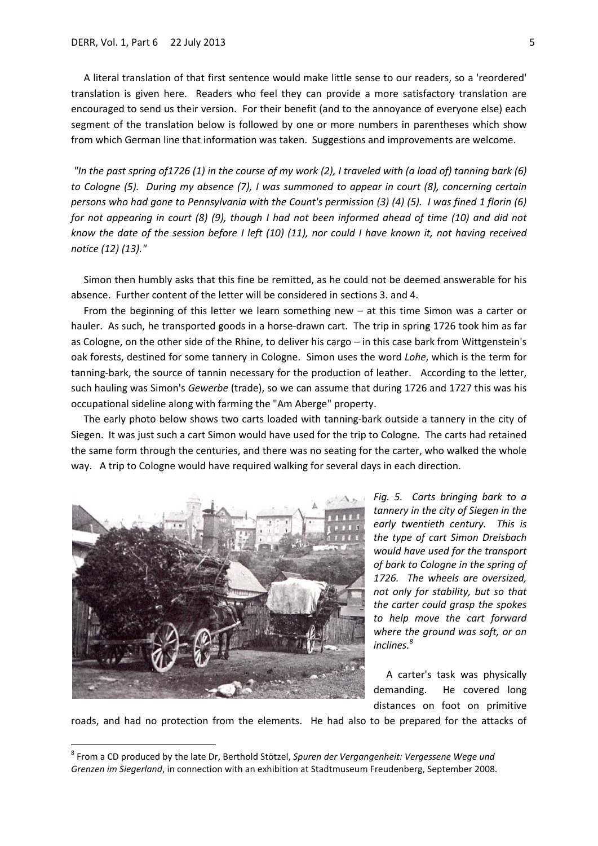A literal translation of that first sentence would make little sense to our readers, so a 'reordered' translation is given here. Readers who feel they can provide a more satisfactory translation are encouraged to send us their version. For their benefit (and to the annoyance of everyone else) each segment of the translation below is followed by one or more numbers in parentheses which show from which German line that information was taken. Suggestions and improvements are welcome.

*"In the past spring of1726 (1) in the course of my work (2), I traveled with (a load of) tanning bark (6) to Cologne (5). During my absence (7), I was summoned to appear in court (8), concerning certain persons who had gone to Pennsylvania with the Count's permission (3) (4) (5). I was fined 1 florin (6) for not appearing in court (8) (9), though I had not been informed ahead of time (10) and did not know the date of the session before I left (10) (11), nor could I have known it, not having received notice (12) (13)."*

 Simon then humbly asks that this fine be remitted, as he could not be deemed answerable for his absence. Further content of the letter will be considered in sections 3. and 4.

 From the beginning of this letter we learn something new – at this time Simon was a carter or hauler. As such, he transported goods in a horse-drawn cart. The trip in spring 1726 took him as far as Cologne, on the other side of the Rhine, to deliver his cargo – in this case bark from Wittgenstein's oak forests, destined for some tannery in Cologne. Simon uses the word *Lohe*, which is the term for tanning-bark, the source of tannin necessary for the production of leather. According to the letter, such hauling was Simon's *Gewerbe* (trade), so we can assume that during 1726 and 1727 this was his occupational sideline along with farming the "Am Aberge" property.

 The early photo below shows two carts loaded with tanning-bark outside a tannery in the city of Siegen. It was just such a cart Simon would have used for the trip to Cologne. The carts had retained the same form through the centuries, and there was no seating for the carter, who walked the whole way. A trip to Cologne would have required walking for several days in each direction.



1

*Fig. 5. Carts bringing bark to a tannery in the city of Siegen in the early twentieth century. This is the type of cart Simon Dreisbach would have used for the transport of bark to Cologne in the spring of 1726. The wheels are oversized, not only for stability, but so that the carter could grasp the spokes to help move the cart forward where the ground was soft, or on inclines.<sup>8</sup>*

 A carter's task was physically demanding. He covered long distances on foot on primitive

roads, and had no protection from the elements. He had also to be prepared for the attacks of

<sup>8</sup> From a CD produced by the late Dr, Berthold Stötzel, *Spuren der Vergangenheit: Vergessene Wege und Grenzen im Siegerland*, in connection with an exhibition at Stadtmuseum Freudenberg, September 2008.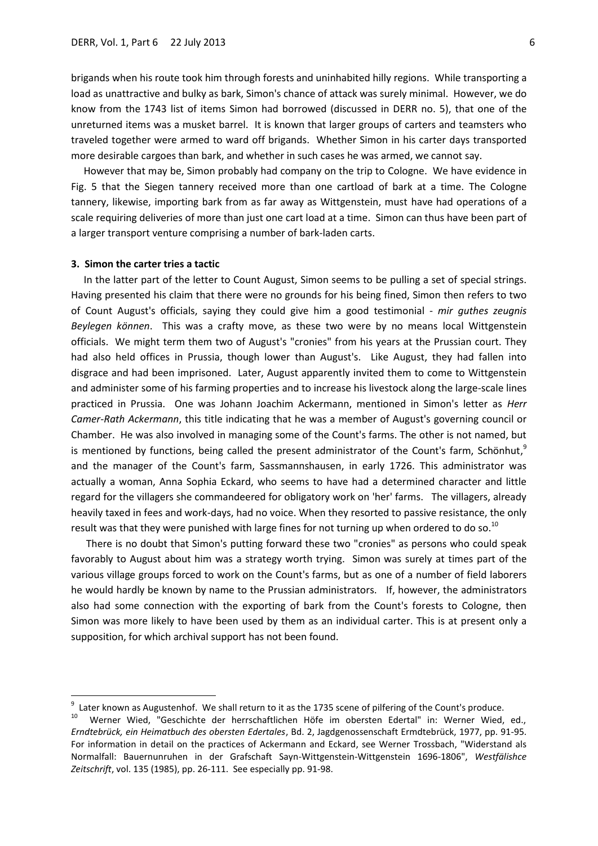brigands when his route took him through forests and uninhabited hilly regions. While transporting a load as unattractive and bulky as bark, Simon's chance of attack was surely minimal. However, we do know from the 1743 list of items Simon had borrowed (discussed in DERR no. 5), that one of the unreturned items was a musket barrel. It is known that larger groups of carters and teamsters who traveled together were armed to ward off brigands. Whether Simon in his carter days transported more desirable cargoes than bark, and whether in such cases he was armed, we cannot say.

 However that may be, Simon probably had company on the trip to Cologne. We have evidence in Fig. 5 that the Siegen tannery received more than one cartload of bark at a time. The Cologne tannery, likewise, importing bark from as far away as Wittgenstein, must have had operations of a scale requiring deliveries of more than just one cart load at a time. Simon can thus have been part of a larger transport venture comprising a number of bark-laden carts.

#### **3. Simon the carter tries a tactic**

**.** 

 In the latter part of the letter to Count August, Simon seems to be pulling a set of special strings. Having presented his claim that there were no grounds for his being fined, Simon then refers to two of Count August's officials, saying they could give him a good testimonial - *mir guthes zeugnis Beylegen können*. This was a crafty move, as these two were by no means local Wittgenstein officials. We might term them two of August's "cronies" from his years at the Prussian court. They had also held offices in Prussia, though lower than August's. Like August, they had fallen into disgrace and had been imprisoned. Later, August apparently invited them to come to Wittgenstein and administer some of his farming properties and to increase his livestock along the large-scale lines practiced in Prussia. One was Johann Joachim Ackermann, mentioned in Simon's letter as *Herr Camer-Rath Ackermann*, this title indicating that he was a member of August's governing council or Chamber. He was also involved in managing some of the Count's farms. The other is not named, but is mentioned by functions, being called the present administrator of the Count's farm, Schönhut,<sup>9</sup> and the manager of the Count's farm, Sassmannshausen, in early 1726. This administrator was actually a woman, Anna Sophia Eckard, who seems to have had a determined character and little regard for the villagers she commandeered for obligatory work on 'her' farms. The villagers, already heavily taxed in fees and work-days, had no voice. When they resorted to passive resistance, the only result was that they were punished with large fines for not turning up when ordered to do so.<sup>10</sup>

 There is no doubt that Simon's putting forward these two "cronies" as persons who could speak favorably to August about him was a strategy worth trying. Simon was surely at times part of the various village groups forced to work on the Count's farms, but as one of a number of field laborers he would hardly be known by name to the Prussian administrators. If, however, the administrators also had some connection with the exporting of bark from the Count's forests to Cologne, then Simon was more likely to have been used by them as an individual carter. This is at present only a supposition, for which archival support has not been found.

<sup>9</sup>  $\frac{9}{10}$  Later known as Augustenhof. We shall return to it as the 1735 scene of pilfering of the Count's produce.<br>10 Merger Mied successitate der herrschaftlichen Höfe im obersten Edertals in: Merger Mied

<sup>10</sup> Werner Wied, "Geschichte der herrschaftlichen Höfe im obersten Edertal" in: Werner Wied, ed., *Erndtebrück, ein Heimatbuch des obersten Edertales*, Bd. 2, Jagdgenossenschaft Ermdtebrück, 1977, pp. 91-95. For information in detail on the practices of Ackermann and Eckard, see Werner Trossbach, "Widerstand als Normalfall: Bauernunruhen in der Grafschaft Sayn-Wittgenstein-Wittgenstein 1696-1806", *Westfälishce Zeitschrift*, vol. 135 (1985), pp. 26-111. See especially pp. 91-98.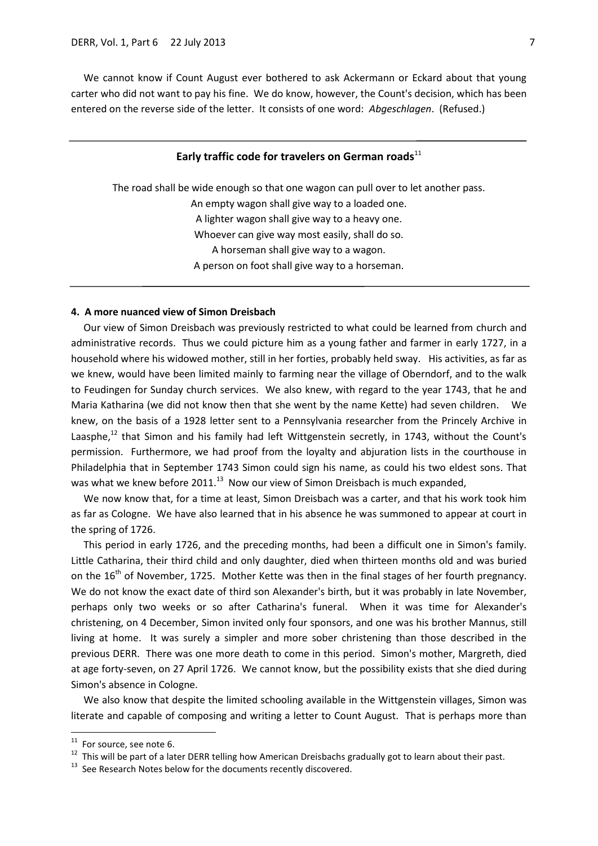We cannot know if Count August ever bothered to ask Ackermann or Eckard about that young carter who did not want to pay his fine. We do know, however, the Count's decision, which has been entered on the reverse side of the letter. It consists of one word: *Abgeschlagen*. (Refused.)

## Early traffic code for travelers on German roads<sup>11</sup>

The road shall be wide enough so that one wagon can pull over to let another pass. An empty wagon shall give way to a loaded one. A lighter wagon shall give way to a heavy one. Whoever can give way most easily, shall do so. A horseman shall give way to a wagon. A person on foot shall give way to a horseman.

## **4. A more nuanced view of Simon Dreisbach**

 Our view of Simon Dreisbach was previously restricted to what could be learned from church and administrative records. Thus we could picture him as a young father and farmer in early 1727, in a household where his widowed mother, still in her forties, probably held sway. His activities, as far as we knew, would have been limited mainly to farming near the village of Oberndorf, and to the walk to Feudingen for Sunday church services. We also knew, with regard to the year 1743, that he and Maria Katharina (we did not know then that she went by the name Kette) had seven children. We knew, on the basis of a 1928 letter sent to a Pennsylvania researcher from the Princely Archive in Laasphe,<sup>12</sup> that Simon and his family had left Wittgenstein secretly, in 1743, without the Count's permission. Furthermore, we had proof from the loyalty and abjuration lists in the courthouse in Philadelphia that in September 1743 Simon could sign his name, as could his two eldest sons. That was what we knew before 2011.<sup>13</sup> Now our view of Simon Dreisbach is much expanded,

 We now know that, for a time at least, Simon Dreisbach was a carter, and that his work took him as far as Cologne. We have also learned that in his absence he was summoned to appear at court in the spring of 1726.

 This period in early 1726, and the preceding months, had been a difficult one in Simon's family. Little Catharina, their third child and only daughter, died when thirteen months old and was buried on the 16<sup>th</sup> of November, 1725. Mother Kette was then in the final stages of her fourth pregnancy. We do not know the exact date of third son Alexander's birth, but it was probably in late November, perhaps only two weeks or so after Catharina's funeral. When it was time for Alexander's christening, on 4 December, Simon invited only four sponsors, and one was his brother Mannus, still living at home. It was surely a simpler and more sober christening than those described in the previous DERR. There was one more death to come in this period. Simon's mother, Margreth, died at age forty-seven, on 27 April 1726. We cannot know, but the possibility exists that she died during Simon's absence in Cologne.

 We also know that despite the limited schooling available in the Wittgenstein villages, Simon was literate and capable of composing and writing a letter to Count August. That is perhaps more than

**.** 

 $11$  For source, see note 6.

 $12$  This will be part of a later DERR telling how American Dreisbachs gradually got to learn about their past.

 $13$  See Research Notes below for the documents recently discovered.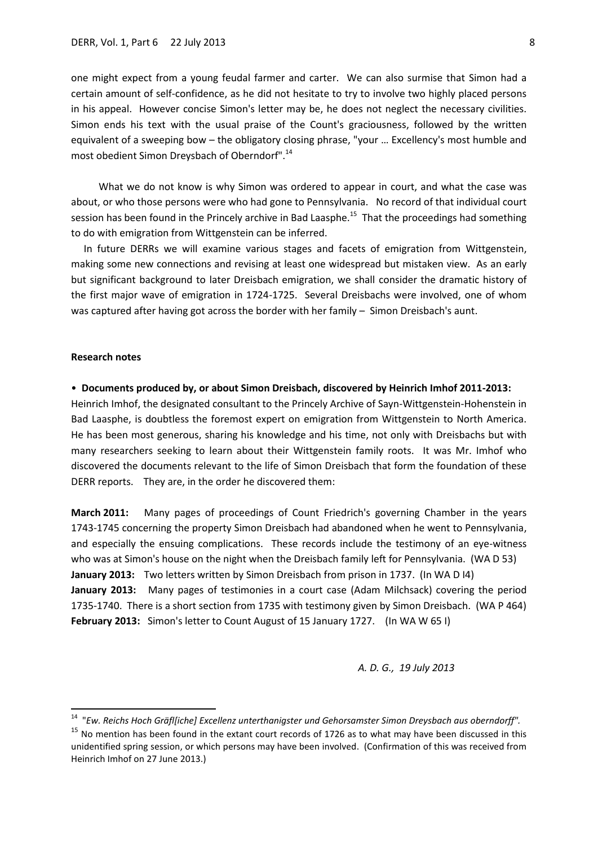one might expect from a young feudal farmer and carter. We can also surmise that Simon had a certain amount of self-confidence, as he did not hesitate to try to involve two highly placed persons in his appeal. However concise Simon's letter may be, he does not neglect the necessary civilities. Simon ends his text with the usual praise of the Count's graciousness, followed by the written equivalent of a sweeping bow – the obligatory closing phrase, "your … Excellency's most humble and most obedient Simon Dreysbach of Oberndorf".<sup>14</sup>

 What we do not know is why Simon was ordered to appear in court, and what the case was about, or who those persons were who had gone to Pennsylvania. No record of that individual court session has been found in the Princely archive in Bad Laasphe.<sup>15</sup> That the proceedings had something to do with emigration from Wittgenstein can be inferred.

 In future DERRs we will examine various stages and facets of emigration from Wittgenstein, making some new connections and revising at least one widespread but mistaken view. As an early but significant background to later Dreisbach emigration, we shall consider the dramatic history of the first major wave of emigration in 1724-1725. Several Dreisbachs were involved, one of whom was captured after having got across the border with her family – Simon Dreisbach's aunt.

## **Research notes**

1

#### • **Documents produced by, or about Simon Dreisbach, discovered by Heinrich Imhof 2011-2013:**

Heinrich Imhof, the designated consultant to the Princely Archive of Sayn-Wittgenstein-Hohenstein in Bad Laasphe, is doubtless the foremost expert on emigration from Wittgenstein to North America. He has been most generous, sharing his knowledge and his time, not only with Dreisbachs but with many researchers seeking to learn about their Wittgenstein family roots. It was Mr. Imhof who discovered the documents relevant to the life of Simon Dreisbach that form the foundation of these DERR reports. They are, in the order he discovered them:

**March 2011:** Many pages of proceedings of Count Friedrich's governing Chamber in the years 1743-1745 concerning the property Simon Dreisbach had abandoned when he went to Pennsylvania, and especially the ensuing complications. These records include the testimony of an eye-witness who was at Simon's house on the night when the Dreisbach family left for Pennsylvania. (WA D 53) **January 2013:** Two letters written by Simon Dreisbach from prison in 1737. (In WA D I4) **January 2013:** Many pages of testimonies in a court case (Adam Milchsack) covering the period 1735-1740. There is a short section from 1735 with testimony given by Simon Dreisbach. (WA P 464) **February 2013:** Simon's letter to Count August of 15 January 1727. (In WA W 65 I)

#### *A. D. G., 19 July 2013*

<sup>14</sup> "*Ew. Reichs Hoch Gräfl[iche] Excellenz unterthanigster und Gehorsamster Simon Dreysbach aus oberndorff".*

<sup>&</sup>lt;sup>15</sup> No mention has been found in the extant court records of 1726 as to what may have been discussed in this unidentified spring session, or which persons may have been involved. (Confirmation of this was received from Heinrich Imhof on 27 June 2013.)